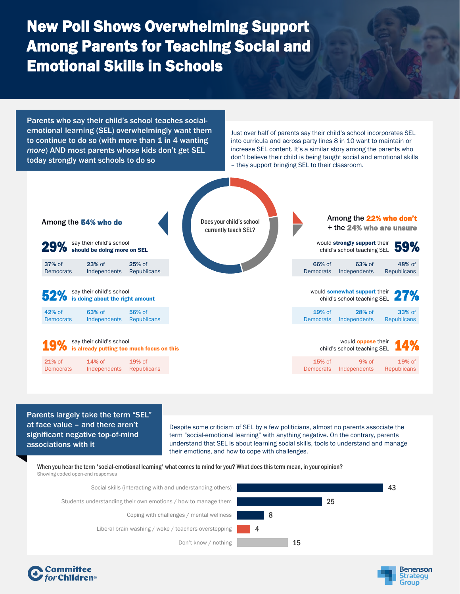## New Poll Shows Overwhelming Support Among Parents for Teaching Social and Emotional Skills in Schools

Parents who say their child's school teaches socialemotional learning (SEL) overwhelmingly want them to continue to do so (with more than  $1$  in  $4$  wanting *more*) AND most parents whose kids don't get SEL today strongly want schools to do so

Just over half of parents say their child's school incorporates SEL into curricula and across party lines 8 in 10 want to maintain or increase SEL content. It's a similar story among the parents who don't believe their child is being taught social and emotional skills – they support bringing SEL to their classroom.



## Parents largely take the term "SEL" at face value – and there aren't significant negative top-of-mind associations with it

Despite some criticism of SEL by a few politicians, almost no parents associate the term "social-emotional learning" with anything negative. On the contrary, parents understand that SEL is about learning social skills, tools to understand and manage their emotions, and how to cope with challenges.

When you hear the term 'social-emotional learning' what comes to mind for you? What does this term mean, in your opinion? Showing coded open-end responses